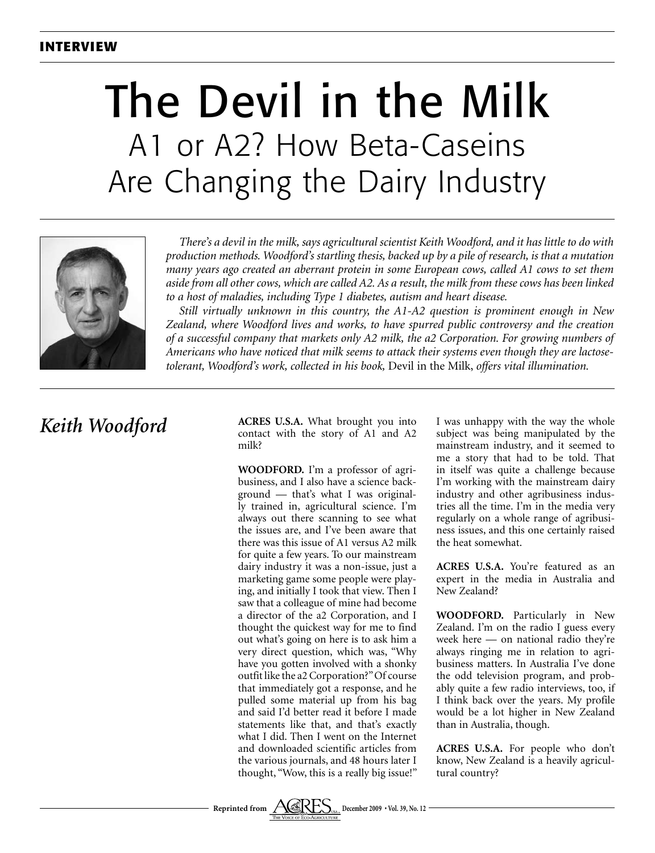# The Devil in the Milk A1 or A2? How Beta-Caseins Are Changing the Dairy Industry



*There's a devil in the milk, says agricultural scientist Keith Woodford, and it has little to do with production methods. Woodford's startling thesis, backed up by a pile of research, is that a mutation many years ago created an aberrant protein in some European cows, called A1 cows to set them aside from all other cows, which are called A2. As a result, the milk from these cows has been linked to a host of maladies, including Type 1 diabetes, autism and heart disease.*

*Still virtually unknown in this country, the A1-A2 question is prominent enough in New Zealand, where Woodford lives and works, to have spurred public controversy and the creation of a successful company that markets only A2 milk, the a2 Corporation. For growing numbers of Americans who have noticed that milk seems to attack their systems even though they are lactosetolerant, Woodford's work, collected in his book,* Devil in the Milk, *offers vital illumination.*

## *Keith Woodford*

**ACRES U.S.A.** What brought you into contact with the story of A1 and A2 milk?

**WOODFORD.** I'm a professor of agribusiness, and I also have a science background — that's what I was originally trained in, agricultural science. I'm always out there scanning to see what the issues are, and I've been aware that there was this issue of A1 versus A2 milk for quite a few years. To our mainstream dairy industry it was a non-issue, just a marketing game some people were playing, and initially I took that view. Then I saw that a colleague of mine had become a director of the a2 Corporation, and I thought the quickest way for me to find out what's going on here is to ask him a very direct question, which was, "Why have you gotten involved with a shonky outfit like the a2 Corporation?" Of course that immediately got a response, and he pulled some material up from his bag and said I'd better read it before I made statements like that, and that's exactly what I did. Then I went on the Internet and downloaded scientific articles from the various journals, and 48 hours later I thought, "Wow, this is a really big issue!"

I was unhappy with the way the whole subject was being manipulated by the mainstream industry, and it seemed to me a story that had to be told. That in itself was quite a challenge because I'm working with the mainstream dairy industry and other agribusiness industries all the time. I'm in the media very regularly on a whole range of agribusiness issues, and this one certainly raised the heat somewhat.

**ACRES U.S.A.** You're featured as an expert in the media in Australia and New Zealand?

**WOODFORD.** Particularly in New Zealand. I'm on the radio I guess every week here — on national radio they're always ringing me in relation to agribusiness matters. In Australia I've done the odd television program, and probably quite a few radio interviews, too, if I think back over the years. My profile would be a lot higher in New Zealand than in Australia, though.

**ACRES U.S.A.** For people who don't know, New Zealand is a heavily agricultural country?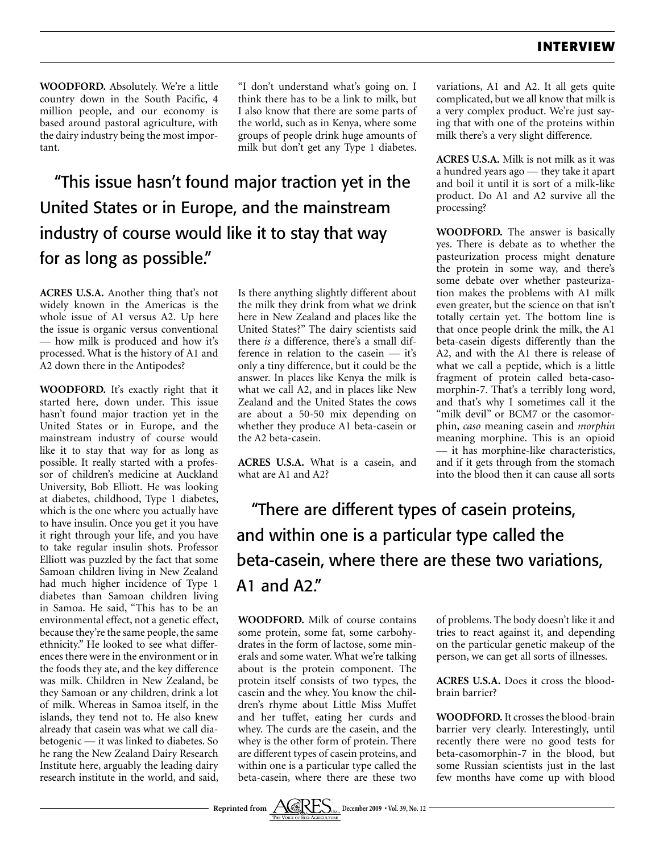**WOODFORD.** Absolutely. We're a little country down in the South Pacific, 4 million people, and our economy is based around pastoral agriculture, with the dairy industry being the most important.

"I don't understand what's going on. I think there has to be a link to milk, but I also know that there are some parts of the world, such as in Kenya, where some groups of people drink huge amounts of milk but don't get any Type 1 diabetes.

"This issue hasn't found major traction yet in the United States or in Europe, and the mainstream industry of course would like it to stay that way for as long as possible."

**ACRES U.S.A.** Another thing that's not widely known in the Americas is the whole issue of A1 versus A2. Up here the issue is organic versus conventional — how milk is produced and how it's processed. What is the history of A1 and A2 down there in the Antipodes?

**WOODFORD.** It's exactly right that it started here, down under. This issue hasn't found major traction yet in the United States or in Europe, and the mainstream industry of course would like it to stay that way for as long as possible. It really started with a professor of children's medicine at Auckland University, Bob Elliott. He was looking at diabetes, childhood, Type 1 diabetes, which is the one where you actually have to have insulin. Once you get it you have it right through your life, and you have to take regular insulin shots. Professor Elliott was puzzled by the fact that some Samoan children living in New Zealand had much higher incidence of Type 1 diabetes than Samoan children living in Samoa. He said, "This has to be an environmental effect, not a genetic effect, because they're the same people, the same ethnicity." He looked to see what differences there were in the environment or in the foods they ate, and the key difference was milk. Children in New Zealand, be they Samoan or any children, drink a lot of milk. Whereas in Samoa itself, in the islands, they tend not to. He also knew already that casein was what we call diabetogenic — it was linked to diabetes. So he rang the New Zealand Dairy Research Institute here, arguably the leading dairy research institute in the world, and said,

Is there anything slightly different about the milk they drink from what we drink here in New Zealand and places like the United States?" The dairy scientists said there *is* a difference, there's a small difference in relation to the casein — it's only a tiny difference, but it could be the answer. In places like Kenya the milk is what we call A2, and in places like New Zealand and the United States the cows are about a 50-50 mix depending on whether they produce A1 beta-casein or the A2 beta-casein.

**ACRES U.S.A.** What is a casein, and what are A1 and A2?

variations, A1 and A2. It all gets quite complicated, but we all know that milk is a very complex product. We're just saying that with one of the proteins within milk there's a very slight difference.

**ACRES U.S.A.** Milk is not milk as it was a hundred years ago — they take it apart and boil it until it is sort of a milk-like product. Do A1 and A2 survive all the processing?

**WOODFORD.** The answer is basically yes. There is debate as to whether the pasteurization process might denature the protein in some way, and there's some debate over whether pasteurization makes the problems with A1 milk even greater, but the science on that isn't totally certain yet. The bottom line is that once people drink the milk, the A1 beta-casein digests differently than the A2, and with the A1 there is release of what we call a peptide, which is a little fragment of protein called beta-casomorphin-7. That's a terribly long word, and that's why I sometimes call it the "milk devil" or BCM7 or the casomorphin, *caso* meaning casein and *morphin*  meaning morphine. This is an opioid — it has morphine-like characteristics, and if it gets through from the stomach into the blood then it can cause all sorts

"There are different types of casein proteins, and within one is a particular type called the beta-casein, where there are these two variations, A1 and A2."

**WOODFORD.** Milk of course contains some protein, some fat, some carbohydrates in the form of lactose, some minerals and some water. What we're talking about is the protein component. The protein itself consists of two types, the casein and the whey. You know the children's rhyme about Little Miss Muffet and her tuffet, eating her curds and whey. The curds are the casein, and the whey is the other form of protein. There are different types of casein proteins, and within one is a particular type called the beta-casein, where there are these two of problems. The body doesn't like it and tries to react against it, and depending on the particular genetic makeup of the person, we can get all sorts of illnesses.

**ACRES U.S.A.** Does it cross the bloodbrain barrier?

**WOODFORD.** It crosses the blood-brain barrier very clearly. Interestingly, until recently there were no good tests for beta-casomorphin-7 in the blood, but some Russian scientists just in the last few months have come up with blood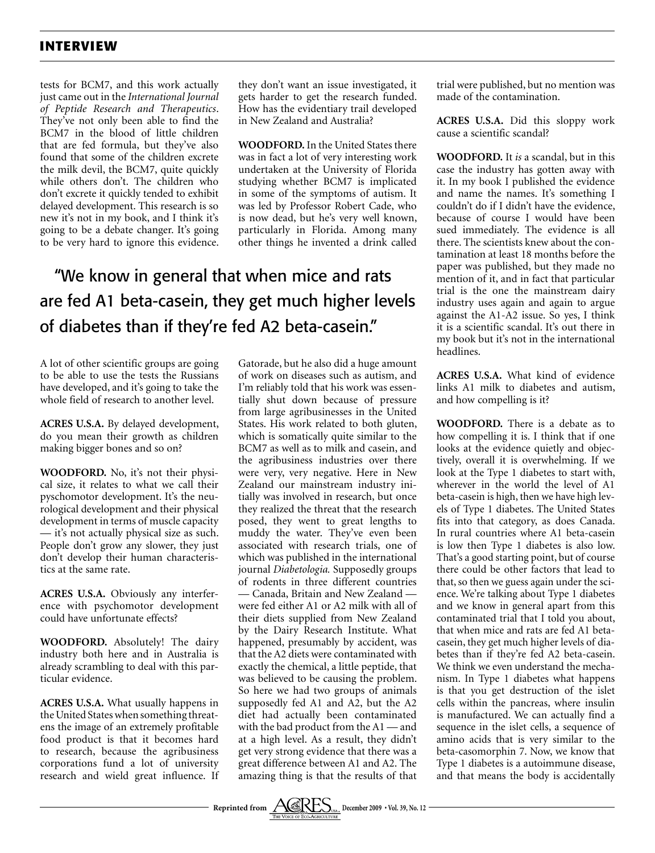tests for BCM7, and this work actually just came out in the *International Journal of Peptide Research and Therapeutics*. They've not only been able to find the BCM7 in the blood of little children that are fed formula, but they've also found that some of the children excrete the milk devil, the BCM7, quite quickly while others don't. The children who don't excrete it quickly tended to exhibit delayed development. This research is so new it's not in my book, and I think it's going to be a debate changer. It's going to be very hard to ignore this evidence.

they don't want an issue investigated, it gets harder to get the research funded. How has the evidentiary trail developed in New Zealand and Australia?

**WOODFORD.** In the United States there was in fact a lot of very interesting work undertaken at the University of Florida studying whether BCM7 is implicated in some of the symptoms of autism. It was led by Professor Robert Cade, who is now dead, but he's very well known, particularly in Florida. Among many other things he invented a drink called

## "We know in general that when mice and rats are fed A1 beta-casein, they get much higher levels of diabetes than if they're fed A2 beta-casein."

A lot of other scientific groups are going to be able to use the tests the Russians have developed, and it's going to take the whole field of research to another level.

**ACRES U.S.A.** By delayed development, do you mean their growth as children making bigger bones and so on?

**WOODFORD.** No, it's not their physical size, it relates to what we call their pyschomotor development. It's the neurological development and their physical development in terms of muscle capacity — it's not actually physical size as such. People don't grow any slower, they just don't develop their human characteristics at the same rate.

**ACRES U.S.A.** Obviously any interference with psychomotor development could have unfortunate effects?

**WOODFORD.** Absolutely! The dairy industry both here and in Australia is already scrambling to deal with this particular evidence.

**ACRES U.S.A.** What usually happens in the United States when something threatens the image of an extremely profitable food product is that it becomes hard to research, because the agribusiness corporations fund a lot of university research and wield great influence. If Gatorade, but he also did a huge amount of work on diseases such as autism, and I'm reliably told that his work was essentially shut down because of pressure from large agribusinesses in the United States. His work related to both gluten, which is somatically quite similar to the BCM7 as well as to milk and casein, and the agribusiness industries over there were very, very negative. Here in New Zealand our mainstream industry initially was involved in research, but once they realized the threat that the research posed, they went to great lengths to muddy the water. They've even been associated with research trials, one of which was published in the international journal *Diabetologia.* Supposedly groups of rodents in three different countries — Canada, Britain and New Zealand were fed either A1 or A2 milk with all of their diets supplied from New Zealand by the Dairy Research Institute. What happened, presumably by accident, was that the A2 diets were contaminated with exactly the chemical, a little peptide, that was believed to be causing the problem. So here we had two groups of animals supposedly fed A1 and A2, but the A2 diet had actually been contaminated with the bad product from the A1 — and at a high level. As a result, they didn't get very strong evidence that there was a great difference between A1 and A2. The amazing thing is that the results of that trial were published, but no mention was made of the contamination.

**ACRES U.S.A.** Did this sloppy work cause a scientific scandal?

**WOODFORD.** It *is* a scandal, but in this case the industry has gotten away with it. In my book I published the evidence and name the names. It's something I couldn't do if I didn't have the evidence, because of course I would have been sued immediately. The evidence is all there. The scientists knew about the contamination at least 18 months before the paper was published, but they made no mention of it, and in fact that particular trial is the one the mainstream dairy industry uses again and again to argue against the A1-A2 issue. So yes, I think it is a scientific scandal. It's out there in my book but it's not in the international headlines.

**ACRES U.S.A.** What kind of evidence links A1 milk to diabetes and autism, and how compelling is it?

**WOODFORD.** There is a debate as to how compelling it is. I think that if one looks at the evidence quietly and objectively, overall it is overwhelming. If we look at the Type 1 diabetes to start with, wherever in the world the level of A1 beta-casein is high, then we have high levels of Type 1 diabetes. The United States fits into that category, as does Canada. In rural countries where A1 beta-casein is low then Type 1 diabetes is also low. That's a good starting point, but of course there could be other factors that lead to that, so then we guess again under the science. We're talking about Type 1 diabetes and we know in general apart from this contaminated trial that I told you about, that when mice and rats are fed A1 betacasein, they get much higher levels of diabetes than if they're fed A2 beta-casein. We think we even understand the mechanism. In Type 1 diabetes what happens is that you get destruction of the islet cells within the pancreas, where insulin is manufactured. We can actually find a sequence in the islet cells, a sequence of amino acids that is very similar to the beta-casomorphin 7. Now, we know that Type 1 diabetes is a autoimmune disease, and that means the body is accidentally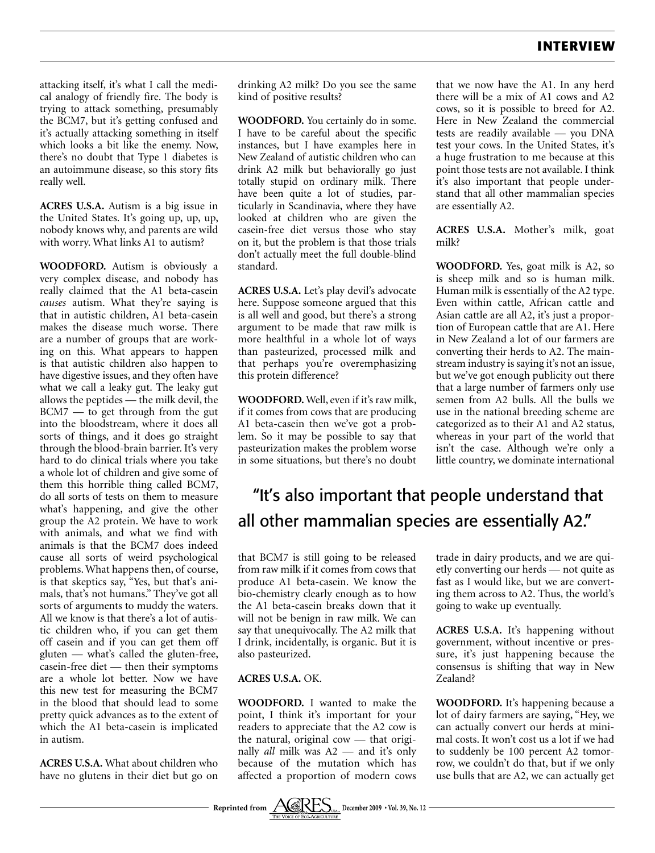attacking itself, it's what I call the medical analogy of friendly fire. The body is trying to attack something, presumably the BCM7, but it's getting confused and it's actually attacking something in itself which looks a bit like the enemy. Now, there's no doubt that Type 1 diabetes is an autoimmune disease, so this story fits really well.

**ACRES U.S.A.** Autism is a big issue in the United States. It's going up, up, up, nobody knows why, and parents are wild with worry. What links A1 to autism?

**WOODFORD.** Autism is obviously a very complex disease, and nobody has really claimed that the A1 beta-casein *causes* autism. What they're saying is that in autistic children, A1 beta-casein makes the disease much worse. There are a number of groups that are working on this. What appears to happen is that autistic children also happen to have digestive issues, and they often have what we call a leaky gut. The leaky gut allows the peptides — the milk devil, the BCM7 — to get through from the gut into the bloodstream, where it does all sorts of things, and it does go straight through the blood-brain barrier. It's very hard to do clinical trials where you take a whole lot of children and give some of them this horrible thing called BCM7, do all sorts of tests on them to measure what's happening, and give the other group the A2 protein. We have to work with animals, and what we find with animals is that the BCM7 does indeed cause all sorts of weird psychological problems. What happens then, of course, is that skeptics say, "Yes, but that's animals, that's not humans." They've got all sorts of arguments to muddy the waters. All we know is that there's a lot of autistic children who, if you can get them off casein and if you can get them off gluten — what's called the gluten-free, casein-free diet — then their symptoms are a whole lot better. Now we have this new test for measuring the BCM7 in the blood that should lead to some pretty quick advances as to the extent of which the A1 beta-casein is implicated in autism.

**ACRES U.S.A.** What about children who have no glutens in their diet but go on drinking A2 milk? Do you see the same kind of positive results?

**WOODFORD.** You certainly do in some. I have to be careful about the specific instances, but I have examples here in New Zealand of autistic children who can drink A2 milk but behaviorally go just totally stupid on ordinary milk. There have been quite a lot of studies, particularly in Scandinavia, where they have looked at children who are given the casein-free diet versus those who stay on it, but the problem is that those trials don't actually meet the full double-blind standard.

**ACRES U.S.A.** Let's play devil's advocate here. Suppose someone argued that this is all well and good, but there's a strong argument to be made that raw milk is more healthful in a whole lot of ways than pasteurized, processed milk and that perhaps you're overemphasizing this protein difference?

**WOODFORD.** Well, even if it's raw milk, if it comes from cows that are producing A1 beta-casein then we've got a problem. So it may be possible to say that pasteurization makes the problem worse in some situations, but there's no doubt

that we now have the A1. In any herd there will be a mix of A1 cows and A2 cows, so it is possible to breed for A2. Here in New Zealand the commercial tests are readily available — you DNA test your cows. In the United States, it's a huge frustration to me because at this point those tests are not available. I think it's also important that people understand that all other mammalian species are essentially A2.

**ACRES U.S.A.** Mother's milk, goat milk?

**WOODFORD.** Yes, goat milk is A2, so is sheep milk and so is human milk. Human milk is essentially of the A2 type. Even within cattle, African cattle and Asian cattle are all A2, it's just a proportion of European cattle that are A1. Here in New Zealand a lot of our farmers are converting their herds to A2. The mainstream industry is saying it's not an issue, but we've got enough publicity out there that a large number of farmers only use semen from A2 bulls. All the bulls we use in the national breeding scheme are categorized as to their A1 and A2 status, whereas in your part of the world that isn't the case. Although we're only a little country, we dominate international

## "It's also important that people understand that all other mammalian species are essentially A2."

that BCM7 is still going to be released from raw milk if it comes from cows that produce A1 beta-casein. We know the bio-chemistry clearly enough as to how the A1 beta-casein breaks down that it will not be benign in raw milk. We can say that unequivocally. The A2 milk that I drink, incidentally, is organic. But it is also pasteurized.

#### **ACRES U.S.A.** OK.

**WOODFORD.** I wanted to make the point, I think it's important for your readers to appreciate that the A2 cow is the natural, original cow — that originally *all* milk was A2 — and it's only because of the mutation which has affected a proportion of modern cows

trade in dairy products, and we are quietly converting our herds — not quite as fast as I would like, but we are converting them across to A2. Thus, the world's going to wake up eventually.

**ACRES U.S.A.** It's happening without government, without incentive or pressure, it's just happening because the consensus is shifting that way in New Zealand?

**WOODFORD.** It's happening because a lot of dairy farmers are saying, "Hey, we can actually convert our herds at minimal costs. It won't cost us a lot if we had to suddenly be 100 percent A2 tomorrow, we couldn't do that, but if we only use bulls that are A2, we can actually get

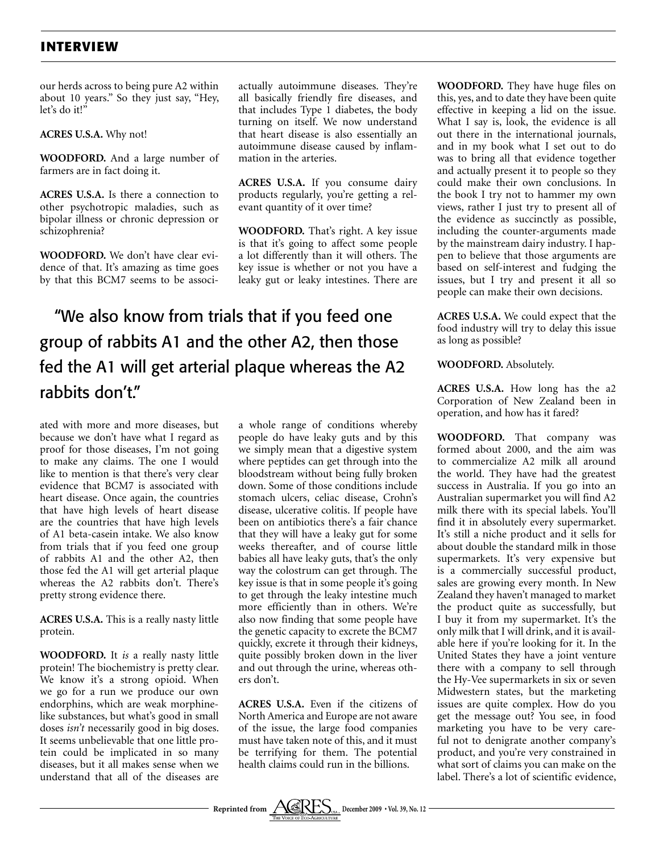our herds across to being pure A2 within about 10 years." So they just say, "Hey, let's do it!"

**ACRES U.S.A.** Why not!

**WOODFORD.** And a large number of farmers are in fact doing it.

**ACRES U.S.A.** Is there a connection to other psychotropic maladies, such as bipolar illness or chronic depression or schizophrenia?

**WOODFORD.** We don't have clear evidence of that. It's amazing as time goes by that this BCM7 seems to be associactually autoimmune diseases. They're all basically friendly fire diseases, and that includes Type 1 diabetes, the body turning on itself. We now understand that heart disease is also essentially an autoimmune disease caused by inflammation in the arteries.

**ACRES U.S.A.** If you consume dairy products regularly, you're getting a relevant quantity of it over time?

**WOODFORD.** That's right. A key issue is that it's going to affect some people a lot differently than it will others. The key issue is whether or not you have a leaky gut or leaky intestines. There are

## "We also know from trials that if you feed one group of rabbits A1 and the other A2, then those fed the A1 will get arterial plaque whereas the A2 rabbits don't."

ated with more and more diseases, but because we don't have what I regard as proof for those diseases, I'm not going to make any claims. The one I would like to mention is that there's very clear evidence that BCM7 is associated with heart disease. Once again, the countries that have high levels of heart disease are the countries that have high levels of A1 beta-casein intake. We also know from trials that if you feed one group of rabbits A1 and the other A2, then those fed the A1 will get arterial plaque whereas the A2 rabbits don't. There's pretty strong evidence there.

**ACRES U.S.A.** This is a really nasty little protein.

**WOODFORD.** It *is* a really nasty little protein! The biochemistry is pretty clear. We know it's a strong opioid. When we go for a run we produce our own endorphins, which are weak morphinelike substances, but what's good in small doses *isn't* necessarily good in big doses. It seems unbelievable that one little protein could be implicated in so many diseases, but it all makes sense when we understand that all of the diseases are

a whole range of conditions whereby people do have leaky guts and by this we simply mean that a digestive system where peptides can get through into the bloodstream without being fully broken down. Some of those conditions include stomach ulcers, celiac disease, Crohn's disease, ulcerative colitis. If people have been on antibiotics there's a fair chance that they will have a leaky gut for some weeks thereafter, and of course little babies all have leaky guts, that's the only way the colostrum can get through. The key issue is that in some people it's going to get through the leaky intestine much more efficiently than in others. We're also now finding that some people have the genetic capacity to excrete the BCM7 quickly, excrete it through their kidneys, quite possibly broken down in the liver and out through the urine, whereas others don't.

**ACRES U.S.A.** Even if the citizens of North America and Europe are not aware of the issue, the large food companies must have taken note of this, and it must be terrifying for them. The potential health claims could run in the billions.

**WOODFORD.** They have huge files on this, yes, and to date they have been quite effective in keeping a lid on the issue. What I say is, look, the evidence is all out there in the international journals, and in my book what I set out to do was to bring all that evidence together and actually present it to people so they could make their own conclusions. In the book I try not to hammer my own views, rather I just try to present all of the evidence as succinctly as possible, including the counter-arguments made by the mainstream dairy industry. I happen to believe that those arguments are based on self-interest and fudging the issues, but I try and present it all so people can make their own decisions.

**ACRES U.S.A.** We could expect that the food industry will try to delay this issue as long as possible?

**WOODFORD.** Absolutely.

**ACRES U.S.A.** How long has the a2 Corporation of New Zealand been in operation, and how has it fared?

**WOODFORD.** That company was formed about 2000, and the aim was to commercialize A2 milk all around the world. They have had the greatest success in Australia. If you go into an Australian supermarket you will find A2 milk there with its special labels. You'll find it in absolutely every supermarket. It's still a niche product and it sells for about double the standard milk in those supermarkets. It's very expensive but is a commercially successful product, sales are growing every month. In New Zealand they haven't managed to market the product quite as successfully, but I buy it from my supermarket. It's the only milk that I will drink, and it is available here if you're looking for it. In the United States they have a joint venture there with a company to sell through the Hy-Vee supermarkets in six or seven Midwestern states, but the marketing issues are quite complex. How do you get the message out? You see, in food marketing you have to be very careful not to denigrate another company's product, and you're very constrained in what sort of claims you can make on the label. There's a lot of scientific evidence,